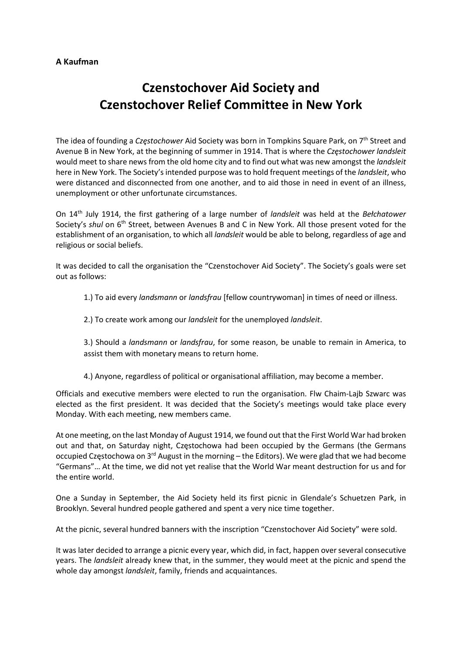## A Kaufman

## Czenstochover Aid Society and Czenstochover Relief Committee in New York

The idea of founding a Częstochower Aid Society was born in Tompkins Square Park, on 7<sup>th</sup> Street and Avenue B in New York, at the beginning of summer in 1914. That is where the Częstochower landsleit would meet to share news from the old home city and to find out what was new amongst the landsleit here in New York. The Society's intended purpose was to hold frequent meetings of the *landsleit*, who were distanced and disconnected from one another, and to aid those in need in event of an illness, unemployment or other unfortunate circumstances.

On 14<sup>th</sup> July 1914, the first gathering of a large number of *landsleit* was held at the Bełchatower Society's shul on 6<sup>th</sup> Street, between Avenues B and C in New York. All those present voted for the establishment of an organisation, to which all *landsleit* would be able to belong, regardless of age and religious or social beliefs.

It was decided to call the organisation the "Czenstochover Aid Society". The Society's goals were set out as follows:

1.) To aid every *landsmann* or *landsfrau* [fellow countrywoman] in times of need or illness.

2.) To create work among our *landsleit* for the unemployed *landsleit*.

3.) Should a *landsmann* or *landsfrau*, for some reason, be unable to remain in America, to assist them with monetary means to return home.

4.) Anyone, regardless of political or organisational affiliation, may become a member.

Officials and executive members were elected to run the organisation. Flw Chaim-Lajb Szwarc was elected as the first president. It was decided that the Society's meetings would take place every Monday. With each meeting, new members came.

At one meeting, on the last Monday of August 1914, we found out that the First World War had broken out and that, on Saturday night, Częstochowa had been occupied by the Germans (the Germans occupied Częstochowa on 3rd August in the morning - the Editors). We were glad that we had become "Germans"… At the time, we did not yet realise that the World War meant destruction for us and for the entire world.

One a Sunday in September, the Aid Society held its first picnic in Glendale's Schuetzen Park, in Brooklyn. Several hundred people gathered and spent a very nice time together.

At the picnic, several hundred banners with the inscription "Czenstochover Aid Society" were sold.

It was later decided to arrange a picnic every year, which did, in fact, happen over several consecutive years. The landsleit already knew that, in the summer, they would meet at the picnic and spend the whole day amongst *landsleit*, family, friends and acquaintances.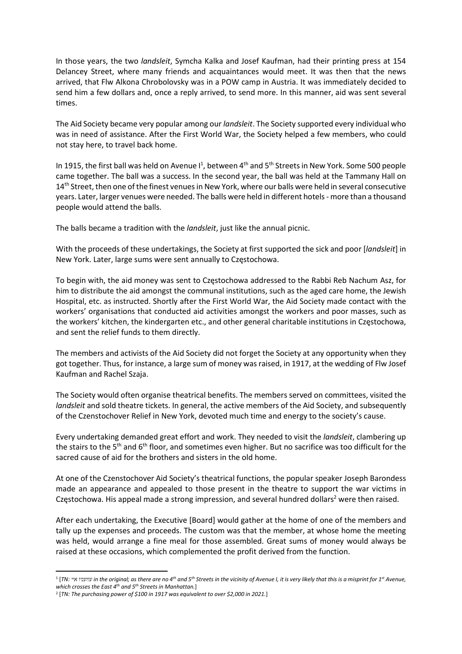In those years, the two landsleit, Symcha Kalka and Josef Kaufman, had their printing press at 154 Delancey Street, where many friends and acquaintances would meet. It was then that the news arrived, that Flw Alkona Chrobolovsky was in a POW camp in Austria. It was immediately decided to send him a few dollars and, once a reply arrived, to send more. In this manner, aid was sent several times.

The Aid Society became very popular among our *landsleit*. The Society supported every individual who was in need of assistance. After the First World War, the Society helped a few members, who could not stay here, to travel back home.

In 1915, the first ball was held on Avenue  $I^1$ , between  $4<sup>th</sup>$  and  $5<sup>th</sup>$  Streets in New York. Some 500 people came together. The ball was a success. In the second year, the ball was held at the Tammany Hall on 14<sup>th</sup> Street, then one of the finest venues in New York, where our balls were held in several consecutive years. Later, larger venues were needed. The balls were held in different hotels - more than a thousand people would attend the balls.

The balls became a tradition with the *landsleit*, just like the annual picnic.

With the proceeds of these undertakings, the Society at first supported the sick and poor [landsleit] in New York. Later, large sums were sent annually to Częstochowa.

To begin with, the aid money was sent to Częstochowa addressed to the Rabbi Reb Nachum Asz, for him to distribute the aid amongst the communal institutions, such as the aged care home, the Jewish Hospital, etc. as instructed. Shortly after the First World War, the Aid Society made contact with the workers' organisations that conducted aid activities amongst the workers and poor masses, such as the workers' kitchen, the kindergarten etc., and other general charitable institutions in Częstochowa, and sent the relief funds to them directly.

The members and activists of the Aid Society did not forget the Society at any opportunity when they got together. Thus, for instance, a large sum of money was raised, in 1917, at the wedding of Flw Josef Kaufman and Rachel Szaja.

The Society would often organise theatrical benefits. The members served on committees, visited the landsleit and sold theatre tickets. In general, the active members of the Aid Society, and subsequently of the Czenstochover Relief in New York, devoted much time and energy to the society's cause.

Every undertaking demanded great effort and work. They needed to visit the *landsleit*, clambering up the stairs to the 5<sup>th</sup> and 6<sup>th</sup> floor, and sometimes even higher. But no sacrifice was too difficult for the sacred cause of aid for the brothers and sisters in the old home.

At one of the Czenstochover Aid Society's theatrical functions, the popular speaker Joseph Barondess made an appearance and appealed to those present in the theatre to support the war victims in Częstochowa. His appeal made a strong impression, and several hundred dollars<sup>2</sup> were then raised.

After each undertaking, the Executive [Board] would gather at the home of one of the members and tally up the expenses and proceeds. The custom was that the member, at whose home the meeting was held, would arrange a fine meal for those assembled. Great sums of money would always be raised at these occasions, which complemented the profit derived from the function.

 $^1$  [TN: שוועניו איי in the original; as there are no 4th and 5th Streets in the vicinity of Avenue I, it is very likely that this is a misprint for 1st Avenue, which crosses the East  $4^{th}$  and  $5^{th}$  Streets in Manhattan.]

 $2$  [TN: The purchasing power of \$100 in 1917 was equivalent to over \$2,000 in 2021.]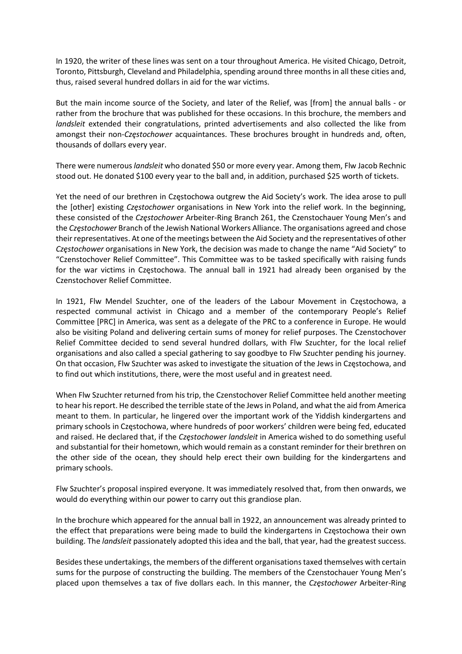In 1920, the writer of these lines was sent on a tour throughout America. He visited Chicago, Detroit, Toronto, Pittsburgh, Cleveland and Philadelphia, spending around three months in all these cities and, thus, raised several hundred dollars in aid for the war victims.

But the main income source of the Society, and later of the Relief, was [from] the annual balls - or rather from the brochure that was published for these occasions. In this brochure, the members and landsleit extended their congratulations, printed advertisements and also collected the like from amongst their non-Czestochower acquaintances. These brochures brought in hundreds and, often, thousands of dollars every year.

There were numerous landsleit who donated \$50 or more every year. Among them, Flw Jacob Rechnic stood out. He donated \$100 every year to the ball and, in addition, purchased \$25 worth of tickets.

Yet the need of our brethren in Częstochowa outgrew the Aid Society's work. The idea arose to pull the [other] existing Częstochower organisations in New York into the relief work. In the beginning, these consisted of the Częstochower Arbeiter-Ring Branch 261, the Czenstochauer Young Men's and the Częstochower Branch of the Jewish National Workers Alliance. The organisations agreed and chose their representatives. At one of the meetings between the Aid Society and the representatives of other Częstochower organisations in New York, the decision was made to change the name "Aid Society" to "Czenstochover Relief Committee". This Committee was to be tasked specifically with raising funds for the war victims in Częstochowa. The annual ball in 1921 had already been organised by the Czenstochover Relief Committee.

In 1921, Flw Mendel Szuchter, one of the leaders of the Labour Movement in Częstochowa, a respected communal activist in Chicago and a member of the contemporary People's Relief Committee [PRC] in America, was sent as a delegate of the PRC to a conference in Europe. He would also be visiting Poland and delivering certain sums of money for relief purposes. The Czenstochover Relief Committee decided to send several hundred dollars, with Flw Szuchter, for the local relief organisations and also called a special gathering to say goodbye to Flw Szuchter pending his journey. On that occasion, Flw Szuchter was asked to investigate the situation of the Jews in Częstochowa, and to find out which institutions, there, were the most useful and in greatest need.

When Flw Szuchter returned from his trip, the Czenstochover Relief Committee held another meeting to hear his report. He described the terrible state of the Jews in Poland, and what the aid from America meant to them. In particular, he lingered over the important work of the Yiddish kindergartens and primary schools in Częstochowa, where hundreds of poor workers' children were being fed, educated and raised. He declared that, if the Częstochower landsleit in America wished to do something useful and substantial for their hometown, which would remain as a constant reminder for their brethren on the other side of the ocean, they should help erect their own building for the kindergartens and primary schools.

Flw Szuchter's proposal inspired everyone. It was immediately resolved that, from then onwards, we would do everything within our power to carry out this grandiose plan.

In the brochure which appeared for the annual ball in 1922, an announcement was already printed to the effect that preparations were being made to build the kindergartens in Częstochowa their own building. The landsleit passionately adopted this idea and the ball, that year, had the greatest success.

Besides these undertakings, the members of the different organisations taxed themselves with certain sums for the purpose of constructing the building. The members of the Czenstochauer Young Men's placed upon themselves a tax of five dollars each. In this manner, the Częstochower Arbeiter-Ring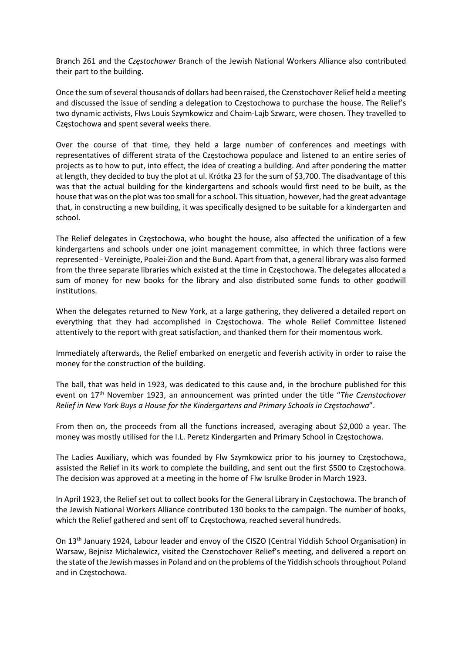Branch 261 and the Częstochower Branch of the Jewish National Workers Alliance also contributed their part to the building.

Once the sum of several thousands of dollars had been raised, the Czenstochover Relief held a meeting and discussed the issue of sending a delegation to Częstochowa to purchase the house. The Relief's two dynamic activists, Flws Louis Szymkowicz and Chaim-Lajb Szwarc, were chosen. They travelled to Częstochowa and spent several weeks there.

Over the course of that time, they held a large number of conferences and meetings with representatives of different strata of the Częstochowa populace and listened to an entire series of projects as to how to put, into effect, the idea of creating a building. And after pondering the matter at length, they decided to buy the plot at ul. Krótka 23 for the sum of \$3,700. The disadvantage of this was that the actual building for the kindergartens and schools would first need to be built, as the house that was on the plot was too small for a school. This situation, however, had the great advantage that, in constructing a new building, it was specifically designed to be suitable for a kindergarten and school.

The Relief delegates in Częstochowa, who bought the house, also affected the unification of a few kindergartens and schools under one joint management committee, in which three factions were represented - Vereinigte, Poalei-Zion and the Bund. Apart from that, a general library was also formed from the three separate libraries which existed at the time in Częstochowa. The delegates allocated a sum of money for new books for the library and also distributed some funds to other goodwill institutions.

When the delegates returned to New York, at a large gathering, they delivered a detailed report on everything that they had accomplished in Częstochowa. The whole Relief Committee listened attentively to the report with great satisfaction, and thanked them for their momentous work.

Immediately afterwards, the Relief embarked on energetic and feverish activity in order to raise the money for the construction of the building.

The ball, that was held in 1923, was dedicated to this cause and, in the brochure published for this event on 17<sup>th</sup> November 1923, an announcement was printed under the title "The Czenstochover Relief in New York Buys a House for the Kindergartens and Primary Schools in Częstochowa".

From then on, the proceeds from all the functions increased, averaging about \$2,000 a year. The money was mostly utilised for the I.L. Peretz Kindergarten and Primary School in Częstochowa.

The Ladies Auxiliary, which was founded by Flw Szymkowicz prior to his journey to Częstochowa, assisted the Relief in its work to complete the building, and sent out the first \$500 to Częstochowa. The decision was approved at a meeting in the home of Flw Isrulke Broder in March 1923.

In April 1923, the Relief set out to collect books for the General Library in Częstochowa. The branch of the Jewish National Workers Alliance contributed 130 books to the campaign. The number of books, which the Relief gathered and sent off to Częstochowa, reached several hundreds.

On 13th January 1924, Labour leader and envoy of the CISZO (Central Yiddish School Organisation) in Warsaw, Bejnisz Michalewicz, visited the Czenstochover Relief's meeting, and delivered a report on the state of the Jewish masses in Poland and on the problems of the Yiddish schools throughout Poland and in Częstochowa.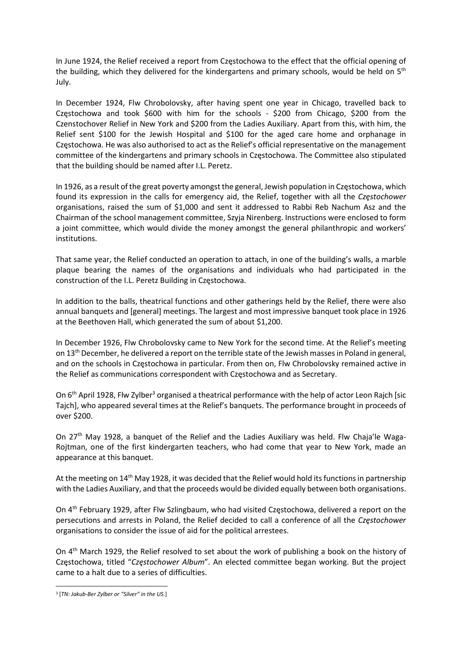In June 1924, the Relief received a report from Częstochowa to the effect that the official opening of the building, which they delivered for the kindergartens and primary schools, would be held on 5<sup>th</sup> July.

In December 1924, Flw Chrobolovsky, after having spent one year in Chicago, travelled back to Częstochowa and took \$600 with him for the schools - \$200 from Chicago, \$200 from the Czenstochover Relief in New York and \$200 from the Ladies Auxiliary. Apart from this, with him, the Relief sent \$100 for the Jewish Hospital and \$100 for the aged care home and orphanage in Częstochowa. He was also authorised to act as the Relief's official representative on the management committee of the kindergartens and primary schools in Częstochowa. The Committee also stipulated that the building should be named after I.L. Peretz.

In 1926, as a result of the great poverty amongst the general, Jewish population in Częstochowa, which found its expression in the calls for emergency aid, the Relief, together with all the Częstochower organisations, raised the sum of \$1,000 and sent it addressed to Rabbi Reb Nachum Asz and the Chairman of the school management committee, Szyja Nirenberg. Instructions were enclosed to form a joint committee, which would divide the money amongst the general philanthropic and workers' institutions.

That same year, the Relief conducted an operation to attach, in one of the building's walls, a marble plaque bearing the names of the organisations and individuals who had participated in the construction of the I.L. Peretz Building in Częstochowa.

In addition to the balls, theatrical functions and other gatherings held by the Relief, there were also annual banquets and [general] meetings. The largest and most impressive banquet took place in 1926 at the Beethoven Hall, which generated the sum of about \$1,200.

In December 1926, Flw Chrobolovsky came to New York for the second time. At the Relief's meeting on  $13<sup>th</sup>$  December, he delivered a report on the terrible state of the Jewish masses in Poland in general, and on the schools in Częstochowa in particular. From then on, Flw Chrobolovsky remained active in the Relief as communications correspondent with Częstochowa and as Secretary.

On 6<sup>th</sup> April 1928, Flw Zylber<sup>3</sup> organised a theatrical performance with the help of actor Leon Rajch [sic Tajch], who appeared several times at the Relief's banquets. The performance brought in proceeds of over \$200.

On 27<sup>th</sup> May 1928, a banquet of the Relief and the Ladies Auxiliary was held. Flw Chaja'le Waga-Rojtman, one of the first kindergarten teachers, who had come that year to New York, made an appearance at this banquet.

At the meeting on 14<sup>th</sup> May 1928, it was decided that the Relief would hold its functions in partnership with the Ladies Auxiliary, and that the proceeds would be divided equally between both organisations.

On 4th February 1929, after Flw Szlingbaum, who had visited Częstochowa, delivered a report on the persecutions and arrests in Poland, the Relief decided to call a conference of all the Częstochower organisations to consider the issue of aid for the political arrestees.

On 4<sup>th</sup> March 1929, the Relief resolved to set about the work of publishing a book on the history of Częstochowa, titled "Częstochower Album". An elected committee began working. But the project came to a halt due to a series of difficulties.

<sup>&</sup>lt;sup>3</sup> [TN: Jakub-Ber Zylber or "Silver" in the US.]